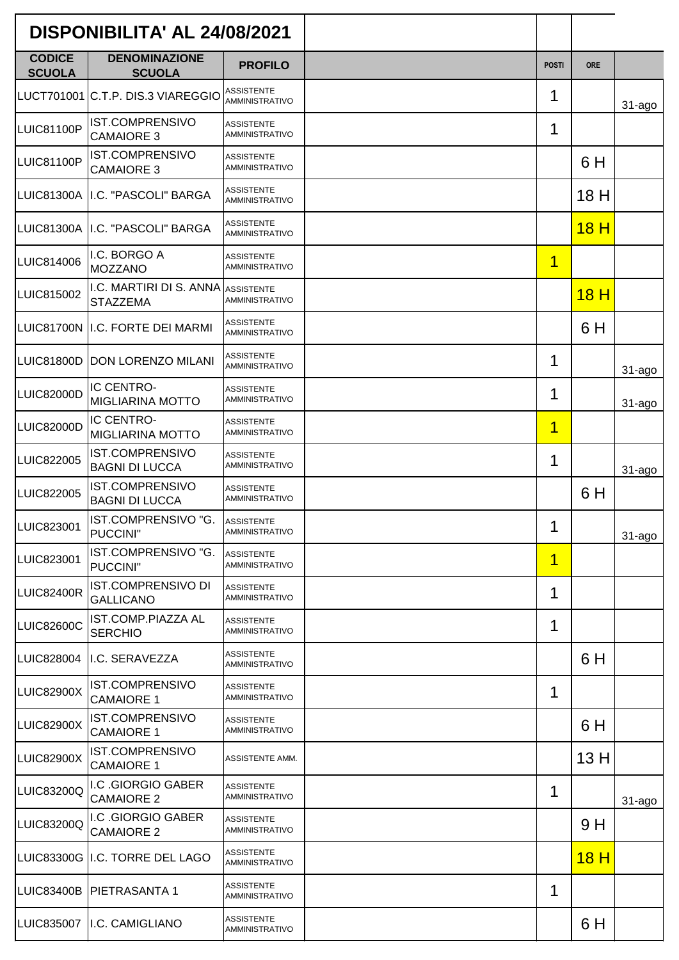| DISPONIBILITA' AL 24/08/2021   |                                                       |                                            |              |                 |             |
|--------------------------------|-------------------------------------------------------|--------------------------------------------|--------------|-----------------|-------------|
| <b>CODICE</b><br><b>SCUOLA</b> | <b>DENOMINAZIONE</b><br><b>SCUOLA</b>                 | <b>PROFILO</b>                             | <b>POSTI</b> | <b>ORE</b>      |             |
|                                | LUCT701001 C.T.P. DIS.3 VIAREGGIO                     | <b>ASSISTENTE</b><br><b>AMMINISTRATIVO</b> | 1            |                 | $31 - ago$  |
| <b>LUIC81100P</b>              | <b>IST.COMPRENSIVO</b><br><b>CAMAIORE 3</b>           | <b>ASSISTENTE</b><br><b>AMMINISTRATIVO</b> | 1            |                 |             |
| <b>LUIC81100P</b>              | IST.COMPRENSIVO<br><b>CAMAIORE 3</b>                  | <b>ASSISTENTE</b><br><b>AMMINISTRATIVO</b> |              | 6 H             |             |
| <b>LUIC81300A</b>              | I.C. "PASCOLI" BARGA                                  | <b>ASSISTENTE</b><br><b>AMMINISTRATIVO</b> |              | 18 H            |             |
|                                | LUIC81300A II.C. "PASCOLI" BARGA                      | <b>ASSISTENTE</b><br><b>AMMINISTRATIVO</b> |              | 18 <sub>H</sub> |             |
| LUIC814006                     | I.C. BORGO A<br><b>MOZZANO</b>                        | <b>ASSISTENTE</b><br><b>AMMINISTRATIVO</b> | $\mathbf 1$  |                 |             |
| LUIC815002                     | I.C. MARTIRI DI S. ANNA ASSISTENTE<br><b>STAZZEMA</b> | <b>AMMINISTRATIVO</b>                      |              | 18 <sub>H</sub> |             |
| <b>LUIC81700N</b>              | I.C. FORTE DEI MARMI                                  | <b>ASSISTENTE</b><br>AMMINISTRATIVO        |              | 6 H             |             |
| <b>LUIC81800D</b>              | <b>DON LORENZO MILANI</b>                             | <b>ASSISTENTE</b><br>AMMINISTRATIVO        | 1            |                 | $31 - a$ go |
| LUIC82000D                     | IC CENTRO-<br><b>MIGLIARINA MOTTO</b>                 | <b>ASSISTENTE</b><br><b>AMMINISTRATIVO</b> | 1            |                 | $31 - a$ go |
| LUIC82000D                     | IC CENTRO-<br><b>MIGLIARINA MOTTO</b>                 | <b>ASSISTENTE</b><br><b>AMMINISTRATIVO</b> | $\mathbf 1$  |                 |             |
| LUIC822005                     | <b>IST.COMPRENSIVO</b><br><b>BAGNI DI LUCCA</b>       | <b>ASSISTENTE</b><br>AMMINISTRATIVO        | 1            |                 | $31 - a$ go |
| LUIC822005                     | <b>IST.COMPRENSIVO</b><br><b>BAGNI DI LUCCA</b>       | <b>ASSISTENTE</b><br>AMMINISTRATIVO        |              | 6 H             |             |
| LUIC823001                     | IST.COMPRENSIVO "G.<br>PUCCINI"                       | <b>ASSISTENTE</b><br><b>AMMINISTRATIVO</b> | 1            |                 | $31 - a$ go |
| LUIC823001                     | IST.COMPRENSIVO "G.<br>PUCCINI"                       | <b>ASSISTENTE</b><br><b>AMMINISTRATIVO</b> | 1            |                 |             |
| <b>LUIC82400R</b>              | IST.COMPRENSIVO DI<br><b>GALLICANO</b>                | <b>ASSISTENTE</b><br><b>AMMINISTRATIVO</b> | 1            |                 |             |
| <b>LUIC82600C</b>              | IST.COMP.PIAZZA AL<br><b>SERCHIO</b>                  | <b>ASSISTENTE</b><br>AMMINISTRATIVO        | 1            |                 |             |
| LUIC828004                     | I.C. SERAVEZZA                                        | <b>ASSISTENTE</b><br><b>AMMINISTRATIVO</b> |              | 6 H             |             |
| <b>LUIC82900X</b>              | IST.COMPRENSIVO<br><b>CAMAIORE 1</b>                  | <b>ASSISTENTE</b><br><b>AMMINISTRATIVO</b> | 1            |                 |             |
| <b>LUIC82900X</b>              | <b>IST.COMPRENSIVO</b><br><b>CAMAIORE 1</b>           | <b>ASSISTENTE</b><br><b>AMMINISTRATIVO</b> |              | 6 H             |             |
| <b>LUIC82900X</b>              | <b>IST.COMPRENSIVO</b><br><b>CAMAIORE 1</b>           | ASSISTENTE AMM.                            |              | 13H             |             |
| LUIC83200Q                     | I.C .GIORGIO GABER<br><b>CAMAIORE 2</b>               | <b>ASSISTENTE</b><br><b>AMMINISTRATIVO</b> | 1            |                 | $31 - a$ go |
| LUIC83200Q                     | I.C .GIORGIO GABER<br><b>CAMAIORE 2</b>               | <b>ASSISTENTE</b><br><b>AMMINISTRATIVO</b> |              | 9 H             |             |
|                                | LUIC83300G I.C. TORRE DEL LAGO                        | <b>ASSISTENTE</b><br><b>AMMINISTRATIVO</b> |              | 18 <sub>H</sub> |             |
| <b>LUIC83400B</b>              | <b>PIETRASANTA1</b>                                   | <b>ASSISTENTE</b><br><b>AMMINISTRATIVO</b> | 1            |                 |             |
|                                | LUIC835007   I.C. CAMIGLIANO                          | <b>ASSISTENTE</b><br>AMMINISTRATIVO        |              | 6 H             |             |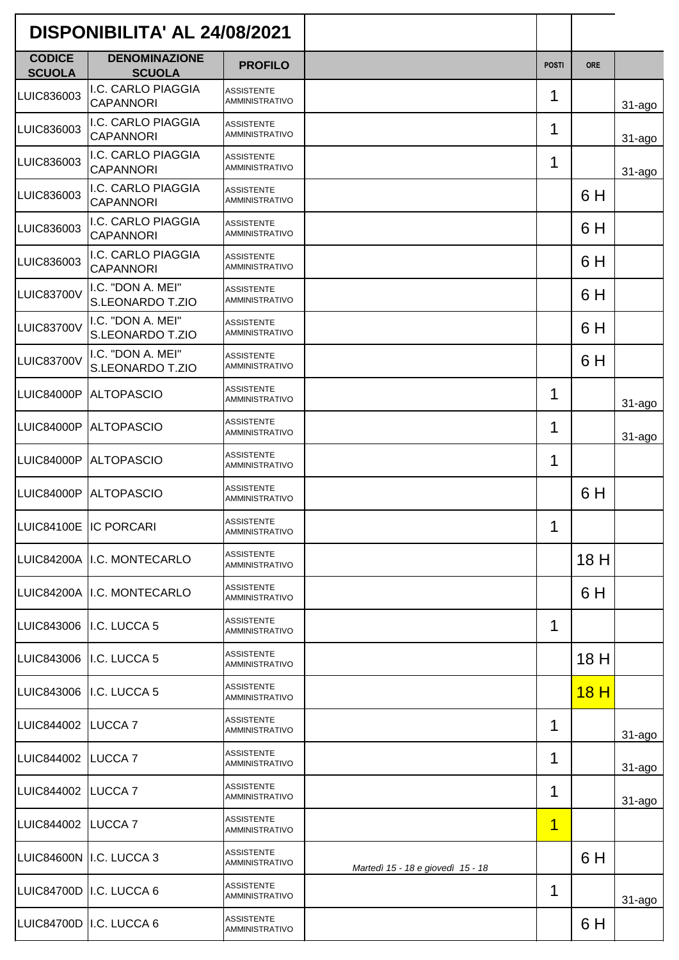| DISPONIBILITA' AL 24/08/2021   |                                        |                                            |                                   |                |                 |             |
|--------------------------------|----------------------------------------|--------------------------------------------|-----------------------------------|----------------|-----------------|-------------|
| <b>CODICE</b><br><b>SCUOLA</b> | <b>DENOMINAZIONE</b><br><b>SCUOLA</b>  | <b>PROFILO</b>                             |                                   | <b>POSTI</b>   | <b>ORE</b>      |             |
| LUIC836003                     | I.C. CARLO PIAGGIA<br><b>CAPANNORI</b> | <b>ASSISTENTE</b><br><b>AMMINISTRATIVO</b> |                                   | 1              |                 | $31 - a$ go |
| LUIC836003                     | I.C. CARLO PIAGGIA<br><b>CAPANNORI</b> | <b>ASSISTENTE</b><br><b>AMMINISTRATIVO</b> |                                   | 1              |                 | $31 - a$ go |
| LUIC836003                     | I.C. CARLO PIAGGIA<br><b>CAPANNORI</b> | <b>ASSISTENTE</b><br><b>AMMINISTRATIVO</b> |                                   | 1              |                 | $31 - a$ go |
| LUIC836003                     | I.C. CARLO PIAGGIA<br><b>CAPANNORI</b> | <b>ASSISTENTE</b><br><b>AMMINISTRATIVO</b> |                                   |                | 6 H             |             |
| LUIC836003                     | I.C. CARLO PIAGGIA<br><b>CAPANNORI</b> | <b>ASSISTENTE</b><br><b>AMMINISTRATIVO</b> |                                   |                | 6 H             |             |
| LUIC836003                     | I.C. CARLO PIAGGIA<br><b>CAPANNORI</b> | <b>ASSISTENTE</b><br><b>AMMINISTRATIVO</b> |                                   |                | 6 H             |             |
| <b>LUIC83700V</b>              | I.C. "DON A. MEI"<br>S.LEONARDO T.ZIO  | <b>ASSISTENTE</b><br><b>AMMINISTRATIVO</b> |                                   |                | 6 H             |             |
| LUIC83700V                     | I.C. "DON A. MEI"<br>S.LEONARDO T.ZIO  | <b>ASSISTENTE</b><br><b>AMMINISTRATIVO</b> |                                   |                | 6 H             |             |
| LUIC83700V                     | I.C. "DON A. MEI"<br>S.LEONARDO T.ZIO  | <b>ASSISTENTE</b><br><b>AMMINISTRATIVO</b> |                                   |                | 6 H             |             |
| <b>LUIC84000P</b>              | <b>ALTOPASCIO</b>                      | <b>ASSISTENTE</b><br>AMMINISTRATIVO        |                                   | 1              |                 | $31 - ago$  |
| <b>LUIC84000P</b>              | <b>ALTOPASCIO</b>                      | <b>ASSISTENTE</b><br><b>AMMINISTRATIVO</b> |                                   | 1              |                 | $31 - a$ go |
| <b>LUIC84000P</b>              | <b>ALTOPASCIO</b>                      | <b>ASSISTENTE</b><br><b>AMMINISTRATIVO</b> |                                   | 1              |                 |             |
| <b>LUIC84000P</b>              | <b>ALTOPASCIO</b>                      | <b>ASSISTENTE</b><br><b>AMMINISTRATIVO</b> |                                   |                | 6 H             |             |
| LUIC84100E IC PORCARI          |                                        | <b>ASSISTENTE</b><br><b>AMMINISTRATIVO</b> |                                   | 1              |                 |             |
|                                | LUIC84200A I.C. MONTECARLO             | <b>ASSISTENTE</b><br><b>AMMINISTRATIVO</b> |                                   |                | 18 H            |             |
|                                | LUIC84200A I.C. MONTECARLO             | <b>ASSISTENTE</b><br><b>AMMINISTRATIVO</b> |                                   |                | 6 H             |             |
|                                | LUIC843006 I.C. LUCCA 5                | <b>ASSISTENTE</b><br><b>AMMINISTRATIVO</b> |                                   | 1              |                 |             |
|                                | LUIC843006 I.C. LUCCA 5                | <b>ASSISTENTE</b><br><b>AMMINISTRATIVO</b> |                                   |                | 18 H            |             |
|                                | LUIC843006 I.C. LUCCA 5                | <b>ASSISTENTE</b><br><b>AMMINISTRATIVO</b> |                                   |                | 18 <sub>H</sub> |             |
| LUIC844002   LUCCA 7           |                                        | <b>ASSISTENTE</b><br><b>AMMINISTRATIVO</b> |                                   | 1              |                 | 31-ago      |
| LUIC844002 LUCCA 7             |                                        | <b>ASSISTENTE</b><br>AMMINISTRATIVO        |                                   | 1              |                 | $31 - a$ go |
| LUIC844002 LUCCA 7             |                                        | <b>ASSISTENTE</b><br><b>AMMINISTRATIVO</b> |                                   | 1              |                 | 31-ago      |
| LUIC844002 LUCCA 7             |                                        | <b>ASSISTENTE</b><br><b>AMMINISTRATIVO</b> |                                   | $\overline{1}$ |                 |             |
|                                | LUIC84600N I.C. LUCCA 3                | <b>ASSISTENTE</b><br><b>AMMINISTRATIVO</b> | Martedì 15 - 18 e giovedì 15 - 18 |                | 6 H             |             |
|                                | LUIC84700D I.C. LUCCA 6                | <b>ASSISTENTE</b><br><b>AMMINISTRATIVO</b> |                                   | 1              |                 | 31-ago      |
|                                | LUIC84700D I.C. LUCCA 6                | <b>ASSISTENTE</b><br>AMMINISTRATIVO        |                                   |                | 6 H             |             |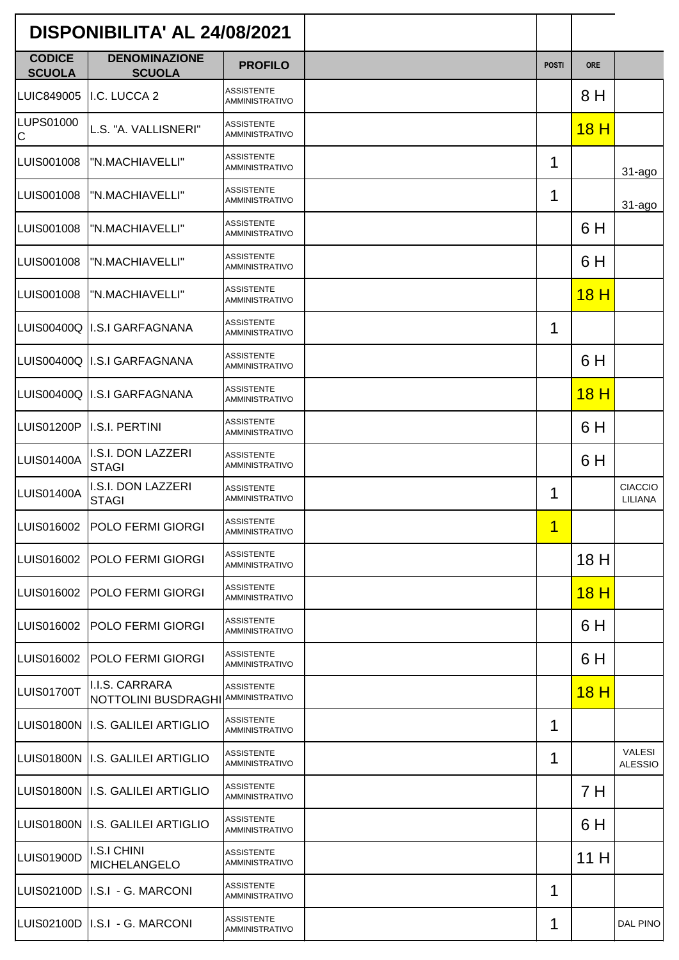|                                | DISPONIBILITA' AL 24/08/2021                         |                                            |              |             |                                 |
|--------------------------------|------------------------------------------------------|--------------------------------------------|--------------|-------------|---------------------------------|
| <b>CODICE</b><br><b>SCUOLA</b> | <b>DENOMINAZIONE</b><br><b>SCUOLA</b>                | <b>PROFILO</b>                             | <b>POSTI</b> | <b>ORE</b>  |                                 |
| LUIC849005                     | I.C. LUCCA 2                                         | <b>ASSISTENTE</b><br><b>AMMINISTRATIVO</b> |              | 8 H         |                                 |
| LUPS01000<br>$\mathsf C$       | L.S. "A. VALLISNERI"                                 | <b>ASSISTENTE</b><br><b>AMMINISTRATIVO</b> |              | <u>18 H</u> |                                 |
| LUIS001008                     | "N.MACHIAVELLI"                                      | <b>ASSISTENTE</b><br><b>AMMINISTRATIVO</b> | 1            |             | $31 - ago$                      |
| LUIS001008                     | "N.MACHIAVELLI"                                      | <b>ASSISTENTE</b><br><b>AMMINISTRATIVO</b> | 1            |             | $31 - a$ go                     |
| LUIS001008                     | "N.MACHIAVELLI"                                      | <b>ASSISTENTE</b><br><b>AMMINISTRATIVO</b> |              | 6 H         |                                 |
| LUIS001008                     | "N.MACHIAVELLI"                                      | <b>ASSISTENTE</b><br><b>AMMINISTRATIVO</b> |              | 6 H         |                                 |
| LUIS001008                     | "N.MACHIAVELLI"                                      | <b>ASSISTENTE</b><br><b>AMMINISTRATIVO</b> |              | 18H         |                                 |
| LUIS00400Q                     | <b>I.S.I GARFAGNANA</b>                              | <b>ASSISTENTE</b><br>AMMINISTRATIVO        | 1            |             |                                 |
|                                | LUIS00400Q II.S.I GARFAGNANA                         | <b>ASSISTENTE</b><br><b>AMMINISTRATIVO</b> |              | 6 H         |                                 |
|                                | LUIS00400Q II.S.I GARFAGNANA                         | <b>ASSISTENTE</b><br><b>AMMINISTRATIVO</b> |              | 18H         |                                 |
| <b>LUIS01200P</b>              | <b>I.S.I. PERTINI</b>                                | <b>ASSISTENTE</b><br><b>AMMINISTRATIVO</b> |              | 6 H         |                                 |
| <b>LUIS01400A</b>              | I.S.I. DON LAZZERI<br><b>STAGI</b>                   | <b>ASSISTENTE</b><br><b>AMMINISTRATIVO</b> |              | 6 H         |                                 |
| <b>LUIS01400A</b>              | I.S.I. DON LAZZERI<br><b>STAGI</b>                   | <b>ASSISTENTE</b><br><b>AMMINISTRATIVO</b> | 1            |             | <b>CIACCIO</b><br>LILIANA       |
|                                | LUIS016002   POLO FERMI GIORGI                       | <b>ASSISTENTE</b><br><b>AMMINISTRATIVO</b> | 1            |             |                                 |
| LUIS016002                     | <b>POLO FERMI GIORGI</b>                             | <b>ASSISTENTE</b><br><b>AMMINISTRATIVO</b> |              | 18 H        |                                 |
| LUIS016002                     | <b>POLO FERMI GIORGI</b>                             | <b>ASSISTENTE</b><br><b>AMMINISTRATIVO</b> |              | 18H         |                                 |
| LUIS016002                     | <b>POLO FERMI GIORGI</b>                             | <b>ASSISTENTE</b><br><b>AMMINISTRATIVO</b> |              | 6 H         |                                 |
| LUIS016002                     | <b>POLO FERMI GIORGI</b>                             | <b>ASSISTENTE</b><br><b>AMMINISTRATIVO</b> |              | 6 H         |                                 |
| <b>LUIS01700T</b>              | I.I.S. CARRARA<br>NOTTOLINI BUSDRAGHI AMMINISTRATIVO | <b>ASSISTENTE</b>                          |              | 18H         |                                 |
|                                | LUIS01800N II.S. GALILEI ARTIGLIO                    | <b>ASSISTENTE</b><br><b>AMMINISTRATIVO</b> | 1            |             |                                 |
|                                | LUIS01800N II.S. GALILEI ARTIGLIO                    | <b>ASSISTENTE</b><br><b>AMMINISTRATIVO</b> | 1            |             | <b>VALESI</b><br><b>ALESSIO</b> |
| LUIS01800N                     | I.S. GALILEI ARTIGLIO                                | <b>ASSISTENTE</b><br><b>AMMINISTRATIVO</b> |              | 7 H         |                                 |
|                                | LUIS01800N II.S. GALILEI ARTIGLIO                    | <b>ASSISTENTE</b><br><b>AMMINISTRATIVO</b> |              | 6 H         |                                 |
| LUIS01900D                     | <b>I.S.I CHINI</b><br><b>MICHELANGELO</b>            | <b>ASSISTENTE</b><br><b>AMMINISTRATIVO</b> |              | 11 H        |                                 |
| <b>LUIS02100D</b>              | II.S.I - G. MARCONI                                  | <b>ASSISTENTE</b><br><b>AMMINISTRATIVO</b> | 1            |             |                                 |
|                                | LUIS02100D   I.S.I - G. MARCONI                      | <b>ASSISTENTE</b><br><b>AMMINISTRATIVO</b> | 1            |             | DAL PINO                        |